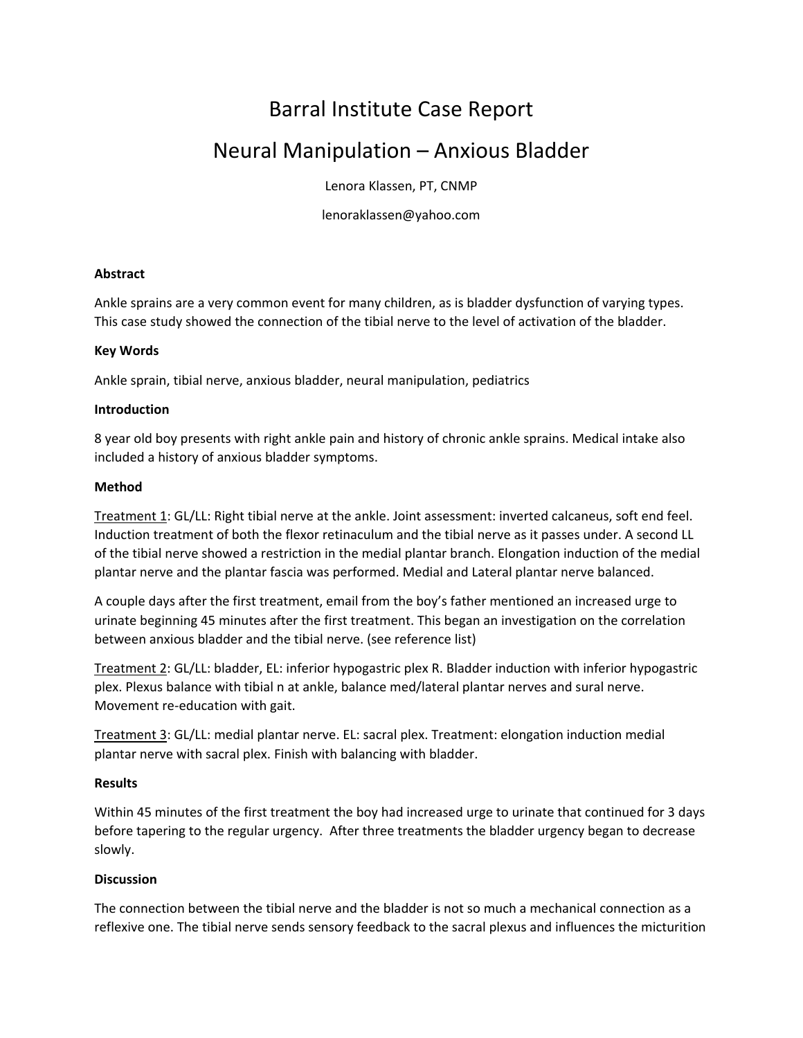# Barral Institute Case Report

## Neural Manipulation – Anxious Bladder

Lenora Klassen, PT, CNMP

lenoraklassen@yahoo.com

#### **Abstract**

Ankle sprains are a very common event for many children, as is bladder dysfunction of varying types. This case study showed the connection of the tibial nerve to the level of activation of the bladder.

#### **Key Words**

Ankle sprain, tibial nerve, anxious bladder, neural manipulation, pediatrics

#### **Introduction**

8 year old boy presents with right ankle pain and history of chronic ankle sprains. Medical intake also included a history of anxious bladder symptoms.

#### **Method**

Treatment 1: GL/LL: Right tibial nerve at the ankle. Joint assessment: inverted calcaneus, soft end feel. Induction treatment of both the flexor retinaculum and the tibial nerve as it passes under. A second LL of the tibial nerve showed a restriction in the medial plantar branch. Elongation induction of the medial plantar nerve and the plantar fascia was performed. Medial and Lateral plantar nerve balanced.

A couple days after the first treatment, email from the boy's father mentioned an increased urge to urinate beginning 45 minutes after the first treatment. This began an investigation on the correlation between anxious bladder and the tibial nerve. (see reference list)

Treatment 2: GL/LL: bladder, EL: inferior hypogastric plex R. Bladder induction with inferior hypogastric plex. Plexus balance with tibial n at ankle, balance med/lateral plantar nerves and sural nerve. Movement re‐education with gait.

Treatment 3: GL/LL: medial plantar nerve. EL: sacral plex. Treatment: elongation induction medial plantar nerve with sacral plex. Finish with balancing with bladder.

#### **Results**

Within 45 minutes of the first treatment the boy had increased urge to urinate that continued for 3 days before tapering to the regular urgency. After three treatments the bladder urgency began to decrease slowly.

### **Discussion**

The connection between the tibial nerve and the bladder is not so much a mechanical connection as a reflexive one. The tibial nerve sends sensory feedback to the sacral plexus and influences the micturition